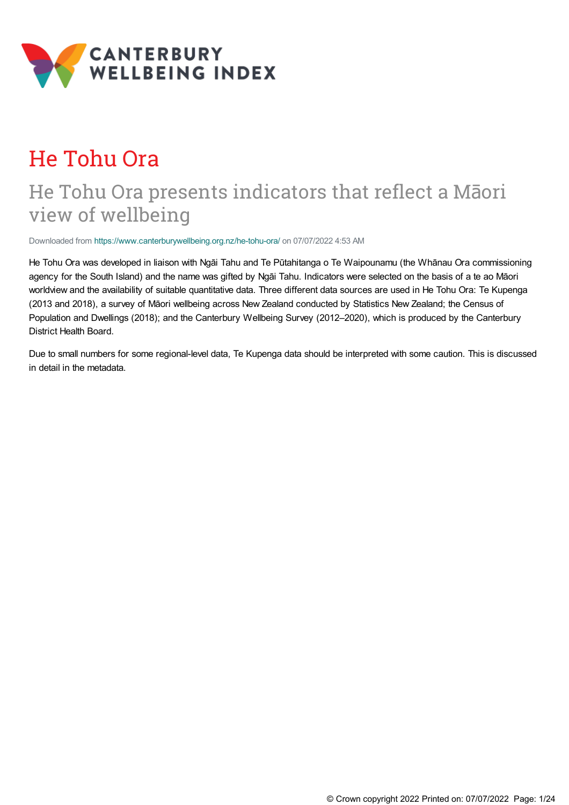

# He Tohu Ora

## He Tohu Ora presents indicators that reflect a Māori view of wellbeing

Downloaded from <https://www.canterburywellbeing.org.nz/he-tohu-ora/> on 07/07/2022 4:53 AM

He Tohu Ora was developed in liaison with Ngāi Tahu and Te Pūtahitanga o Te Waipounamu (the Whānau Ora commissioning agency for the South Island) and the name was gifted by Ngāi Tahu. Indicators were selected on the basis of a te ao Māori worldview and the availability of suitable quantitative data. Three different data sources are used in He Tohu Ora: Te Kupenga (2013 and 2018), a survey of Māori wellbeing across New Zealand conducted by Statistics New Zealand; the Census of Population and Dwellings (2018); and the Canterbury Wellbeing Survey (2012–2020), which is produced by the Canterbury District Health Board.

Due to small numbers for some regional-level data, Te Kupenga data should be interpreted with some caution. This is discussed in detail in the metadata.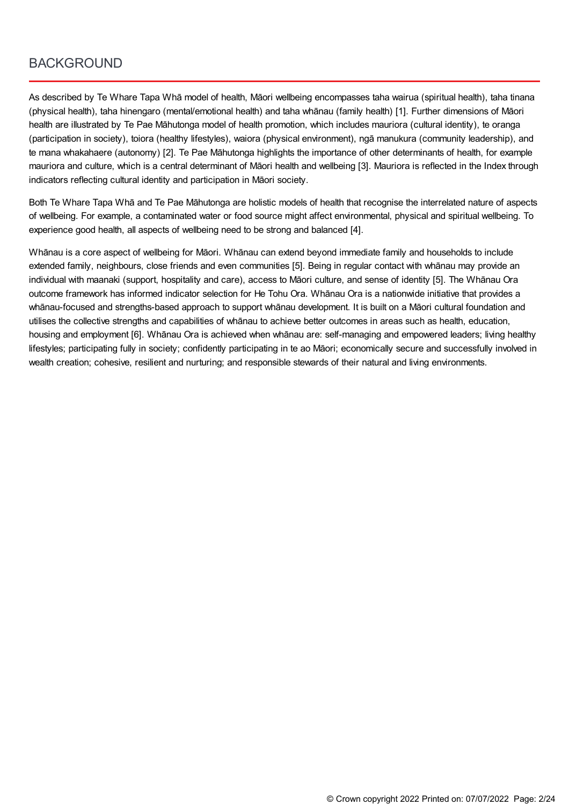### **BACKGROUND**

As described by Te Whare Tapa Whā model of health, Māori wellbeing encompasses taha wairua (spiritual health), taha tinana (physical health), taha hinengaro (mental/emotional health) and taha whānau (family health) [1]. Further dimensions of Māori health are illustrated by Te Pae Māhutonga model of health promotion, which includes mauriora (cultural identity), te oranga (participation in society), toiora (healthy lifestyles), waiora (physical environment), ngā manukura (community leadership), and te mana whakahaere (autonomy) [2]. Te Pae Māhutonga highlights the importance of other determinants of health, for example mauriora and culture, which is a central determinant of Māori health and wellbeing [3]. Mauriora is reflected in the Index through indicators reflecting cultural identity and participation in Māori society.

Both Te Whare Tapa Whā and Te Pae Māhutonga are holistic models of health that recognise the interrelated nature of aspects of wellbeing. For example, a contaminated water or food source might affect environmental, physical and spiritual wellbeing. To experience good health, all aspects of wellbeing need to be strong and balanced [4].

Whānau is a core aspect of wellbeing for Māori. Whānau can extend beyond immediate family and households to include extended family, neighbours, close friends and even communities [5]. Being in regular contact with whānau may provide an individual with maanaki (support, hospitality and care), access to Māori culture, and sense of identity [5]. The Whānau Ora outcome framework has informed indicator selection for He Tohu Ora. Whānau Ora is a nationwide initiative that provides a whānau-focused and strengths-based approach to support whānau development. It is built on a Māori cultural foundation and utilises the collective strengths and capabilities of whānau to achieve better outcomes in areas such as health, education, housing and employment [6]. Whānau Ora is achieved when whānau are: self-managing and empowered leaders; living healthy lifestyles; participating fully in society; confidently participating in te ao Māori; economically secure and successfully involved in wealth creation; cohesive, resilient and nurturing; and responsible stewards of their natural and living environments.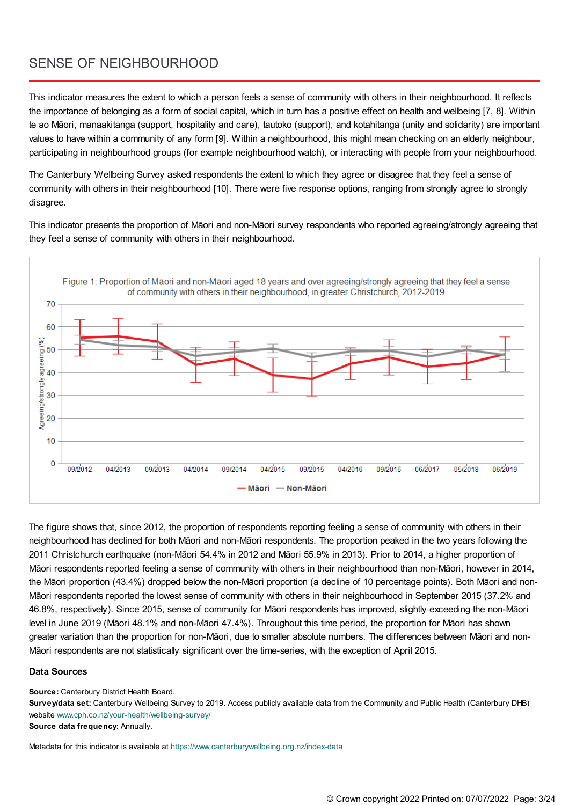## SENSE OF NEIGHBOURHOOD

This indicator measures the extent to which a person feels a sense of community with others in their neighbourhood. It reflects the importance of belonging as a form of social capital, which in turn has a positive effect on health and wellbeing [7, 8]. Within te ao Māori, manaakitanga (support, hospitality and care), tautoko (support), and kotahitanga (unity and solidarity) are important values to have within a community of any form [9]. Within a neighbourhood, this might mean checking on an elderly neighbour, participating in neighbourhood groups (for example neighbourhood watch), or interacting with people from your neighbourhood.

The Canterbury Wellbeing Survey asked respondents the extent to which they agree or disagree that they feel a sense of community with others in their neighbourhood [10]. There were five response options, ranging from strongly agree to strongly disagree.

This indicator presents the proportion of Māori and non-Māori survey respondents who reported agreeing/strongly agreeing that they feel a sense of community with others in their neighbourhood.



The figure shows that, since 2012, the proportion of respondents reporting feeling a sense of community with others in their neighbourhood has declined for both Māori and non-Māori respondents. The proportion peaked in the two years following the 2011 Christchurch earthquake (non-Māori 54.4% in 2012 and Māori 55.9% in 2013). Prior to 2014, a higher proportion of Māori respondents reported feeling a sense of community with others in their neighbourhood than non-Māori, however in 2014, the Māori proportion (43.4%) dropped below the non-Māori proportion (a decline of 10 percentage points). Both Māori and non-Māori respondents reported the lowest sense of community with others in their neighbourhood in September 2015 (37.2% and 46.8%, respectively). Since 2015, sense of community for Māori respondents has improved, slightly exceeding the non-Māori level in June 2019 (Māori 48.1% and non-Māori 47.4%). Throughout this time period, the proportion for Māori has shown greater variation than the proportion for non-Māori, due to smaller absolute numbers. The differences between Māori and non-Māori respondents are not statistically significant over the time-series, with the exception of April 2015.

#### **Data Sources**

**Source:** Canterbury District Health Board.

**Survey/data set:** Canterbury Wellbeing Survey to 2019. Access publicly available data from the Community and Public Health (Canterbury DHB) website [www.cph.co.nz/your-health/wellbeing-survey/](https://www.cph.co.nz/your-health/wellbeing-survey/) **Source data frequency:** Annually.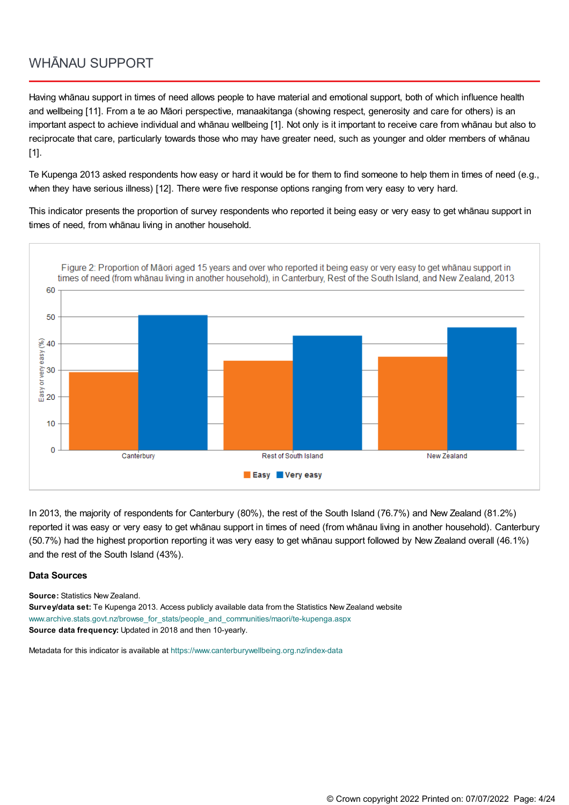### WHĀNAU SUPPORT

Having whānau support in times of need allows people to have material and emotional support, both of which influence health and wellbeing [11]. From a te ao Māori perspective, manaakitanga (showing respect, generosity and care for others) is an important aspect to achieve individual and whānau wellbeing [1]. Not only is it important to receive care from whānau but also to reciprocate that care, particularly towards those who may have greater need, such as younger and older members of whānau [1].

Te Kupenga 2013 asked respondents how easy or hard it would be for them to find someone to help them in times of need (e.g., when they have serious illness) [12]. There were five response options ranging from very easy to very hard.

This indicator presents the proportion of survey respondents who reported it being easy or very easy to get whānau support in times of need, from whānau living in another household.



In 2013, the majority of respondents for Canterbury (80%), the rest of the South Island (76.7%) and New Zealand (81.2%) reported it was easy or very easy to get whānau support in times of need (from whānau living in another household). Canterbury (50.7%) had the highest proportion reporting it was very easy to get whānau support followed by New Zealand overall (46.1%) and the rest of the South Island (43%).

#### **Data Sources**

**Source:** Statistics New Zealand.

**Survey/data set:** Te Kupenga 2013. Access publicly available data from the Statistics New Zealand website [www.archive.stats.govt.nz/browse\\_for\\_stats/people\\_and\\_communities/maori/te-kupenga.aspx](http://www.archive.stats.govt.nz/browse_for_stats/people_and_communities/maori/te-kupenga.aspx) **Source data frequency:** Updated in 2018 and then 10-yearly.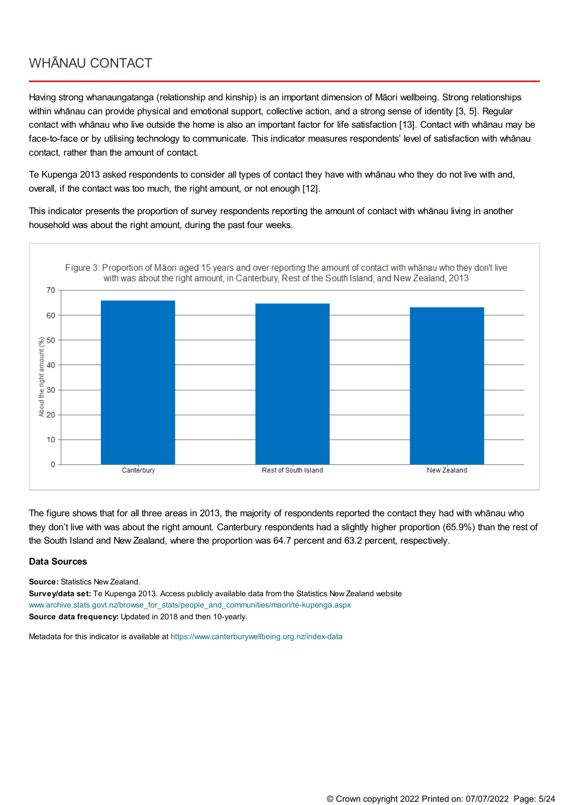### WHĀNAU CONTACT

Having strong whanaungatanga (relationship and kinship) is an important dimension of Māori wellbeing. Strong relationships within whānau can provide physical and emotional support, collective action, and a strong sense of identity [3, 5]. Regular contact with whānau who live outside the home is also an important factor for life satisfaction [13]. Contact with whānau may be face-to-face or by utilising technology to communicate. This indicator measures respondents' level of satisfaction with whānau contact, rather than the amount of contact.

Te Kupenga 2013 asked respondents to consider all types of contact they have with whānau who they do not live with and, overall, if the contact was too much, the right amount, or not enough [12].

This indicator presents the proportion of survey respondents reporting the amount of contact with whānau living in another household was about the right amount, during the past four weeks.



The figure shows that for all three areas in 2013, the majority of respondents reported the contact they had with whānau who they don't live with was about the right amount. Canterbury respondents had a slightly higher proportion (65.9%) than the rest of the South Island and New Zealand, where the proportion was 64.7 percent and 63.2 percent, respectively.

#### **Data Sources**

**Source:** Statistics New Zealand.

**Survey/data set:** Te Kupenga 2013. Access publicly available data from the Statistics New Zealand website [www.archive.stats.govt.nz/browse\\_for\\_stats/people\\_and\\_communities/maori/te-kupenga.aspx](http://www.archive.stats.govt.nz/browse_for_stats/people_and_communities/maori/te-kupenga.aspx) **Source data frequency:** Updated in 2018 and then 10-yearly.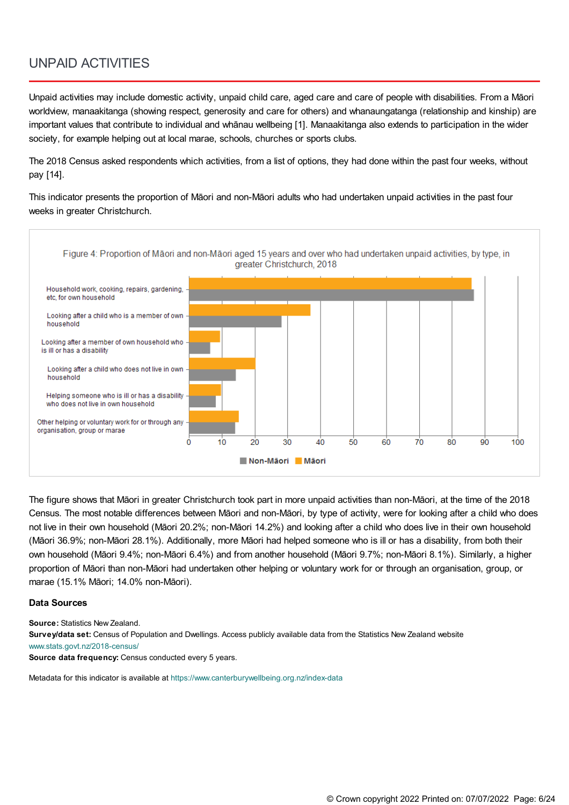### UNPAID ACTIVITIES

Unpaid activities may include domestic activity, unpaid child care, aged care and care of people with disabilities. From a Māori worldview, manaakitanga (showing respect, generosity and care for others) and whanaungatanga (relationship and kinship) are important values that contribute to individual and whānau wellbeing [1]. Manaakitanga also extends to participation in the wider society, for example helping out at local marae, schools, churches or sports clubs.

The 2018 Census asked respondents which activities, from a list of options, they had done within the past four weeks, without pay [14].

This indicator presents the proportion of Māori and non-Māori adults who had undertaken unpaid activities in the past four weeks in greater Christchurch.



The figure shows that Māori in greater Christchurch took part in more unpaid activities than non-Māori, at the time of the 2018 Census. The most notable differences between Māori and non-Māori, by type of activity, were for looking after a child who does not live in their own household (Māori 20.2%; non-Māori 14.2%) and looking after a child who does live in their own household (Māori 36.9%; non-Māori 28.1%). Additionally, more Māori had helped someone who is ill or has a disability, from both their own household (Māori 9.4%; non-Māori 6.4%) and from another household (Māori 9.7%; non-Māori 8.1%). Similarly, a higher proportion of Māori than non-Māori had undertaken other helping or voluntary work for or through an organisation, group, or marae (15.1% Māori; 14.0% non-Māori).

#### **Data Sources**

**Source:** Statistics New Zealand. **Survey/data set:** Census of Population and Dwellings. Access publicly available data from the Statistics New Zealand website [www.stats.govt.nz/2018-census/](https://www.stats.govt.nz/2018-census/)

**Source data frequency:** Census conducted every 5 years.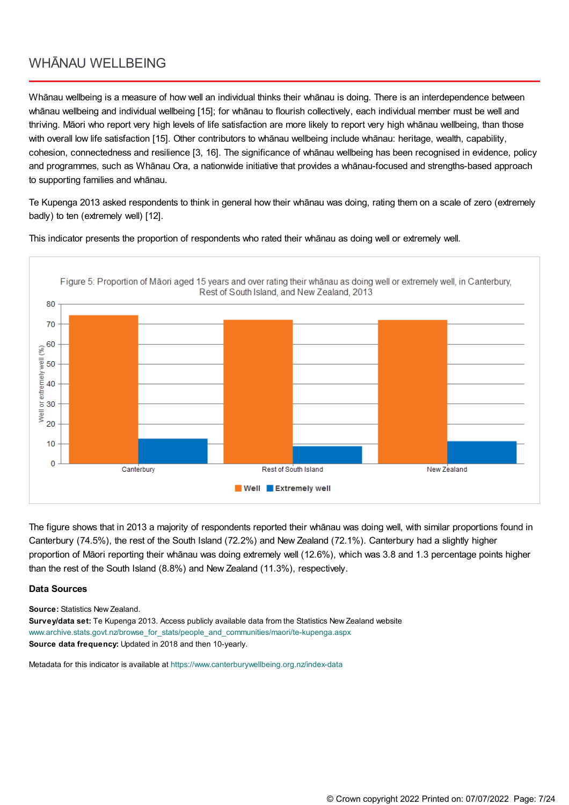### WHĀNAU WELLBEING

Whānau wellbeing is a measure of how well an individual thinks their whānau is doing. There is an interdependence between whānau wellbeing and individual wellbeing [15]; for whānau to flourish collectively, each individual member must be well and thriving. Māori who report very high levels of life satisfaction are more likely to report very high whānau wellbeing, than those with overall low life satisfaction [15]. Other contributors to whānau wellbeing include whānau: heritage, wealth, capability, cohesion, connectedness and resilience [3, 16]. The significance of whānau wellbeing has been recognised in evidence, policy and programmes, such as Whānau Ora, a nationwide initiative that provides a whānau-focused and strengths-based approach to supporting families and whānau.

Te Kupenga 2013 asked respondents to think in general how their whānau was doing, rating them on a scale of zero (extremely badly) to ten (extremely well) [12].



This indicator presents the proportion of respondents who rated their whānau as doing well or extremely well.

The figure shows that in 2013 a majority of respondents reported their whānau was doing well, with similar proportions found in Canterbury (74.5%), the rest of the South Island (72.2%) and New Zealand (72.1%). Canterbury had a slightly higher proportion of Māori reporting their whānau was doing extremely well (12.6%), which was 3.8 and 1.3 percentage points higher than the rest of the South Island (8.8%) and New Zealand (11.3%), respectively.

#### **Data Sources**

**Source:** Statistics New Zealand.

**Survey/data set:** Te Kupenga 2013. Access publicly available data from the Statistics New Zealand website [www.archive.stats.govt.nz/browse\\_for\\_stats/people\\_and\\_communities/maori/te-kupenga.aspx](http://www.archive.stats.govt.nz/browse_for_stats/people_and_communities/maori/te-kupenga.aspx) **Source data frequency:** Updated in 2018 and then 10-yearly.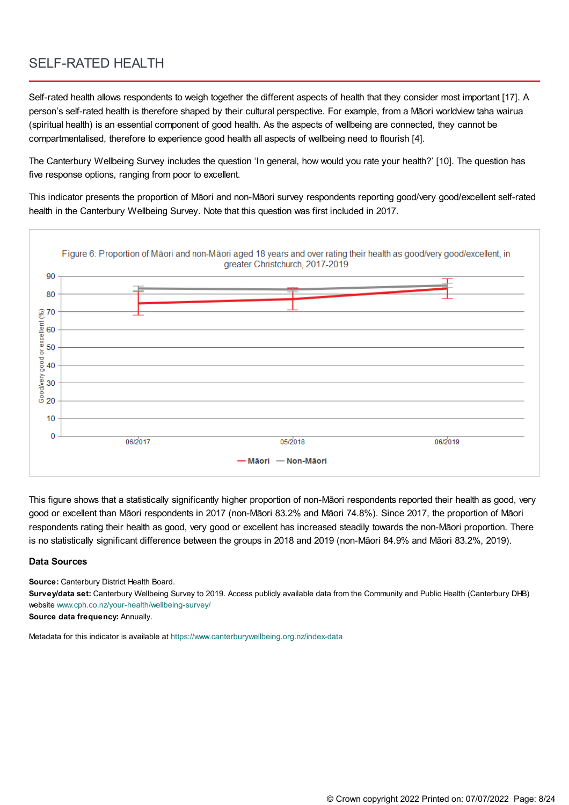### SELF-RATED HEALTH

Self-rated health allows respondents to weigh together the different aspects of health that they consider most important [17]. A person's self-rated health is therefore shaped by their cultural perspective. For example, from a Māori worldview taha wairua (spiritual health) is an essential component of good health. As the aspects of wellbeing are connected, they cannot be compartmentalised, therefore to experience good health all aspects of wellbeing need to flourish [4].

The Canterbury Wellbeing Survey includes the question 'In general, how would you rate your health?' [10]. The question has five response options, ranging from poor to excellent.

This indicator presents the proportion of Māori and non-Māori survey respondents reporting good/very good/excellent self-rated health in the Canterbury Wellbeing Survey. Note that this question was first included in 2017.



This figure shows that a statistically significantly higher proportion of non-Māori respondents reported their health as good, very good or excellent than Māori respondents in 2017 (non-Māori 83.2% and Māori 74.8%). Since 2017, the proportion of Māori respondents rating their health as good, very good or excellent has increased steadily towards the non-Māori proportion. There is no statistically significant difference between the groups in 2018 and 2019 (non-Māori 84.9% and Māori 83.2%, 2019).

#### **Data Sources**

**Source:** Canterbury District Health Board.

**Survey/data set:** Canterbury Wellbeing Survey to 2019. Access publicly available data from the Community and Public Health (Canterbury DHB) website [www.cph.co.nz/your-health/wellbeing-survey/](https://www.cph.co.nz/your-health/wellbeing-survey/)

**Source data frequency:** Annually.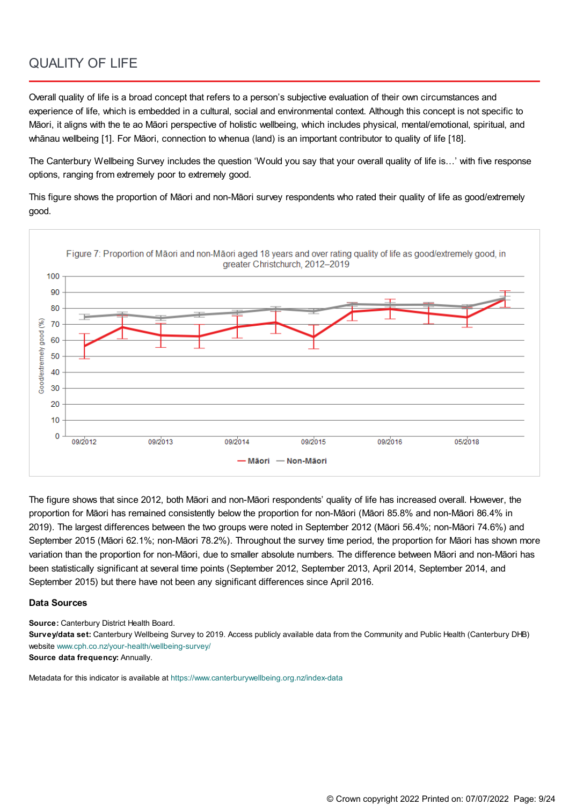### QUALITY OF LIFE

Overall quality of life is a broad concept that refers to a person's subjective evaluation of their own circumstances and experience of life, which is embedded in a cultural, social and environmental context. Although this concept is not specific to Māori, it aligns with the te ao Māori perspective of holistic wellbeing, which includes physical, mental/emotional, spiritual, and whānau wellbeing [1]. For Māori, connection to whenua (land) is an important contributor to quality of life [18].

The Canterbury Wellbeing Survey includes the question 'Would you say that your overall quality of life is…' with five response options, ranging from extremely poor to extremely good.

This figure shows the proportion of Māori and non-Māori survey respondents who rated their quality of life as good/extremely good.



The figure shows that since 2012, both Māori and non-Māori respondents' quality of life has increased overall. However, the proportion for Māori has remained consistently below the proportion for non-Māori (Māori 85.8% and non-Māori 86.4% in 2019). The largest differences between the two groups were noted in September 2012 (Māori 56.4%; non-Māori 74.6%) and September 2015 (Māori 62.1%; non-Māori 78.2%). Throughout the survey time period, the proportion for Māori has shown more variation than the proportion for non-Māori, due to smaller absolute numbers. The difference between Māori and non-Māori has been statistically significant at several time points (September 2012, September 2013, April 2014, September 2014, and September 2015) but there have not been any significant differences since April 2016.

#### **Data Sources**

**Source:** Canterbury District Health Board.

**Survey/data set:** Canterbury Wellbeing Survey to 2019. Access publicly available data from the Community and Public Health (Canterbury DHB) website [www.cph.co.nz/your-health/wellbeing-survey/](https://www.cph.co.nz/your-health/wellbeing-survey/)

**Source data frequency:** Annually.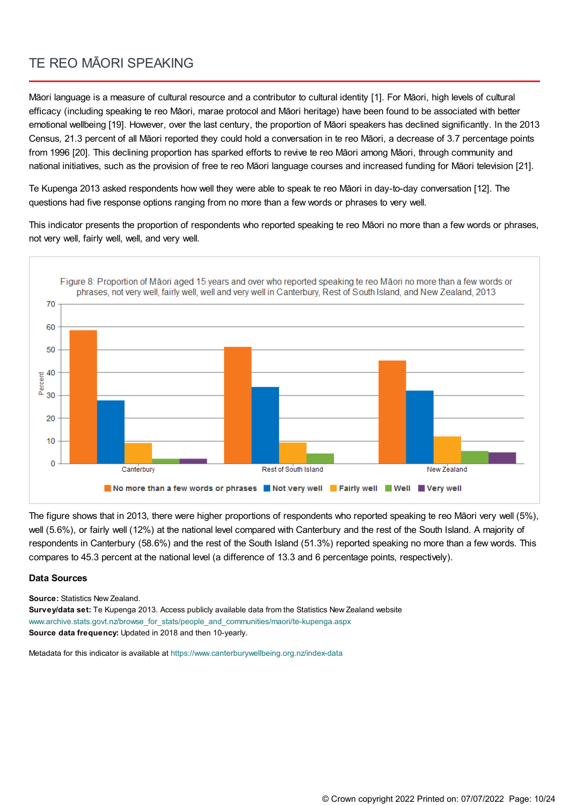### TE REO MĀORI SPEAKING

Māori language is a measure of cultural resource and a contributor to cultural identity [1]. For Māori, high levels of cultural efficacy (including speaking te reo Māori, marae protocol and Māori heritage) have been found to be associated with better emotional wellbeing [19]. However, over the last century, the proportion of Māori speakers has declined significantly. In the 2013 Census, 21.3 percent of all Māori reported they could hold a conversation in te reo Māori, a decrease of 3.7 percentage points from 1996 [20]. This declining proportion has sparked efforts to revive te reo Māori among Māori, through community and national initiatives, such as the provision of free te reo Māori language courses and increased funding for Māori television [21].

Te Kupenga 2013 asked respondents how well they were able to speak te reo Māori in day-to-day conversation [12]. The questions had five response options ranging from no more than a few words or phrases to very well.

This indicator presents the proportion of respondents who reported speaking te reo Māori no more than a few words or phrases, not very well, fairly well, well, and very well.



The figure shows that in 2013, there were higher proportions of respondents who reported speaking te reo Māori very well (5%), well (5.6%), or fairly well (12%) at the national level compared with Canterbury and the rest of the South Island. A majority of respondents in Canterbury (58.6%) and the rest of the South Island (51.3%) reported speaking no more than a few words. This compares to 45.3 percent at the national level (a difference of 13.3 and 6 percentage points, respectively).

#### **Data Sources**

**Source:** Statistics New Zealand.

**Survey/data set:** Te Kupenga 2013. Access publicly available data from the Statistics New Zealand website [www.archive.stats.govt.nz/browse\\_for\\_stats/people\\_and\\_communities/maori/te-kupenga.aspx](http://www.archive.stats.govt.nz/browse_for_stats/people_and_communities/maori/te-kupenga.aspx) **Source data frequency:** Updated in 2018 and then 10-yearly.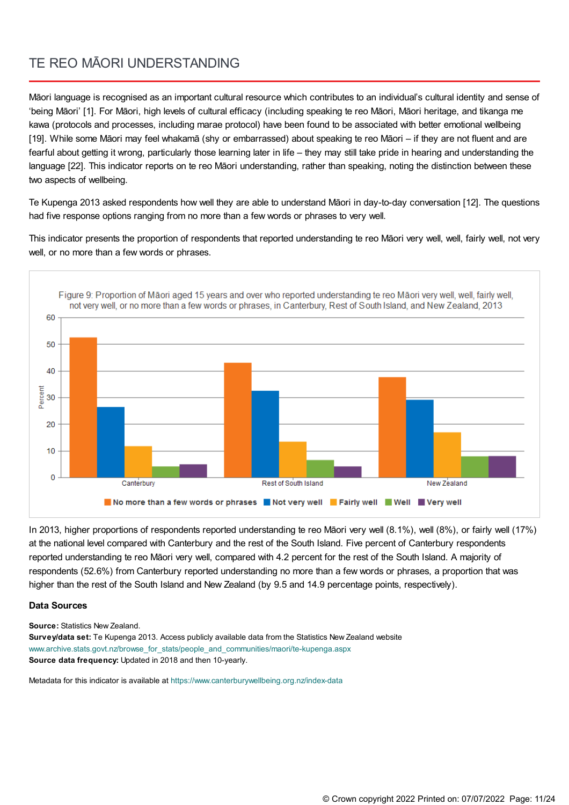### TE REO MĀORI UNDERSTANDING

Māori language is recognised as an important cultural resource which contributes to an individual's cultural identity and sense of 'being Māori' [1]. For Māori, high levels of cultural efficacy (including speaking te reo Māori, Māori heritage, and tikanga me kawa (protocols and processes, including marae protocol) have been found to be associated with better emotional wellbeing [19]. While some Māori may feel whakamā (shy or embarrassed) about speaking te reo Māori – if they are not fluent and are fearful about getting it wrong, particularly those learning later in life – they may still take pride in hearing and understanding the language [22]. This indicator reports on te reo Māori understanding, rather than speaking, noting the distinction between these two aspects of wellbeing.

Te Kupenga 2013 asked respondents how well they are able to understand Māori in day-to-day conversation [12]. The questions had five response options ranging from no more than a few words or phrases to very well.

This indicator presents the proportion of respondents that reported understanding te reo Māori very well, well, fairly well, not very well, or no more than a few words or phrases.



In 2013, higher proportions of respondents reported understanding te reo Māori very well (8.1%), well (8%), or fairly well (17%) at the national level compared with Canterbury and the rest of the South Island. Five percent of Canterbury respondents reported understanding te reo Māori very well, compared with 4.2 percent for the rest of the South Island. A majority of respondents (52.6%) from Canterbury reported understanding no more than a few words or phrases, a proportion that was higher than the rest of the South Island and New Zealand (by 9.5 and 14.9 percentage points, respectively).

#### **Data Sources**

**Source:** Statistics New Zealand.

**Survey/data set:** Te Kupenga 2013. Access publicly available data from the Statistics New Zealand website [www.archive.stats.govt.nz/browse\\_for\\_stats/people\\_and\\_communities/maori/te-kupenga.aspx](http://www.archive.stats.govt.nz/browse_for_stats/people_and_communities/maori/te-kupenga.aspx) **Source data frequency:** Updated in 2018 and then 10-yearly.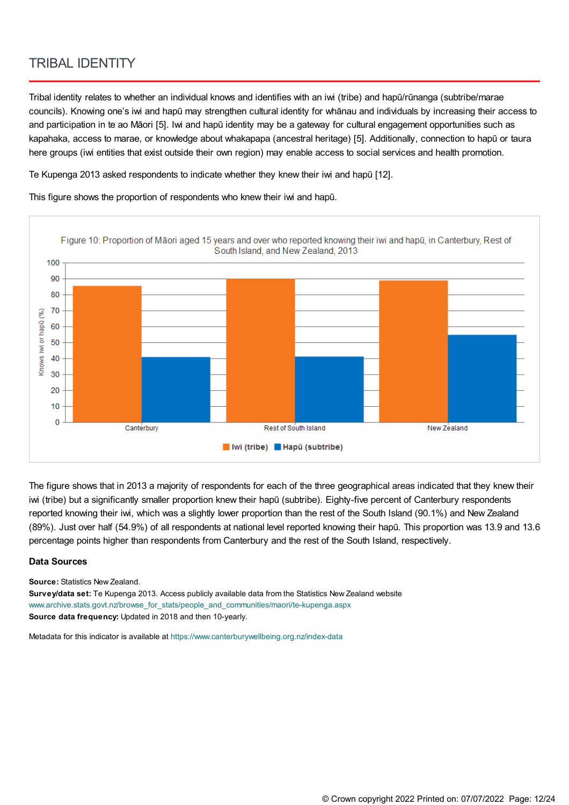### TRIBAL IDENTITY

Tribal identity relates to whether an individual knows and identifies with an iwi (tribe) and hapū/rūnanga (subtribe/marae councils). Knowing one's iwi and hapū may strengthen cultural identity for whānau and individuals by increasing their access to and participation in te ao Māori [5]. Iwi and hapū identity may be a gateway for cultural engagement opportunities such as kapahaka, access to marae, or knowledge about whakapapa (ancestral heritage) [5]. Additionally, connection to hapū or taura here groups (iwi entities that exist outside their own region) may enable access to social services and health promotion.

Te Kupenga 2013 asked respondents to indicate whether they knew their iwi and hapū [12].

This figure shows the proportion of respondents who knew their iwi and hapū.



The figure shows that in 2013 a majority of respondents for each of the three geographical areas indicated that they knew their iwi (tribe) but a significantly smaller proportion knew their hapū (subtribe). Eighty-five percent of Canterbury respondents reported knowing their iwi, which was a slightly lower proportion than the rest of the South Island (90.1%) and New Zealand (89%). Just over half (54.9%) of all respondents at national level reported knowing their hapū. This proportion was 13.9 and 13.6 percentage points higher than respondents from Canterbury and the rest of the South Island, respectively.

#### **Data Sources**

**Source:** Statistics New Zealand.

**Survey/data set:** Te Kupenga 2013. Access publicly available data from the Statistics New Zealand website [www.archive.stats.govt.nz/browse\\_for\\_stats/people\\_and\\_communities/maori/te-kupenga.aspx](http://www.archive.stats.govt.nz/browse_for_stats/people_and_communities/maori/te-kupenga.aspx) **Source data frequency:** Updated in 2018 and then 10-yearly.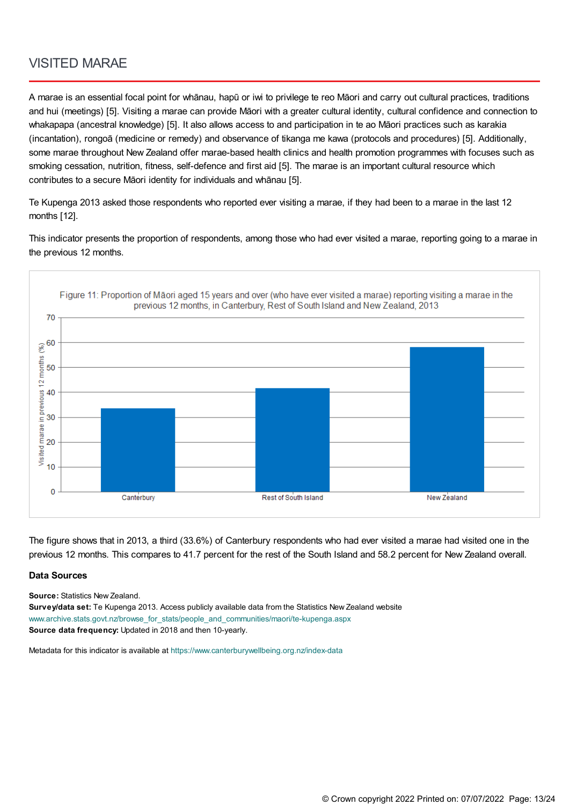### VISITED MARAE

A marae is an essential focal point for whānau, hapū or iwi to privilege te reo Māori and carry out cultural practices, traditions and hui (meetings) [5]. Visiting a marae can provide Māori with a greater cultural identity, cultural confidence and connection to whakapapa (ancestral knowledge) [5]. It also allows access to and participation in te ao Māori practices such as karakia (incantation), rongoā (medicine or remedy) and observance of tikanga me kawa (protocols and procedures) [5]. Additionally, some marae throughout New Zealand offer marae-based health clinics and health promotion programmes with focuses such as smoking cessation, nutrition, fitness, self-defence and first aid [5]. The marae is an important cultural resource which contributes to a secure Māori identity for individuals and whānau [5].

Te Kupenga 2013 asked those respondents who reported ever visiting a marae, if they had been to a marae in the last 12 months [12].

This indicator presents the proportion of respondents, among those who had ever visited a marae, reporting going to a marae in the previous 12 months.



The figure shows that in 2013, a third (33.6%) of Canterbury respondents who had ever visited a marae had visited one in the previous 12 months. This compares to 41.7 percent for the rest of the South Island and 58.2 percent for New Zealand overall.

#### **Data Sources**

**Source:** Statistics New Zealand.

**Survey/data set:** Te Kupenga 2013. Access publicly available data from the Statistics New Zealand website [www.archive.stats.govt.nz/browse\\_for\\_stats/people\\_and\\_communities/maori/te-kupenga.aspx](http://www.archive.stats.govt.nz/browse_for_stats/people_and_communities/maori/te-kupenga.aspx) **Source data frequency:** Updated in 2018 and then 10-yearly.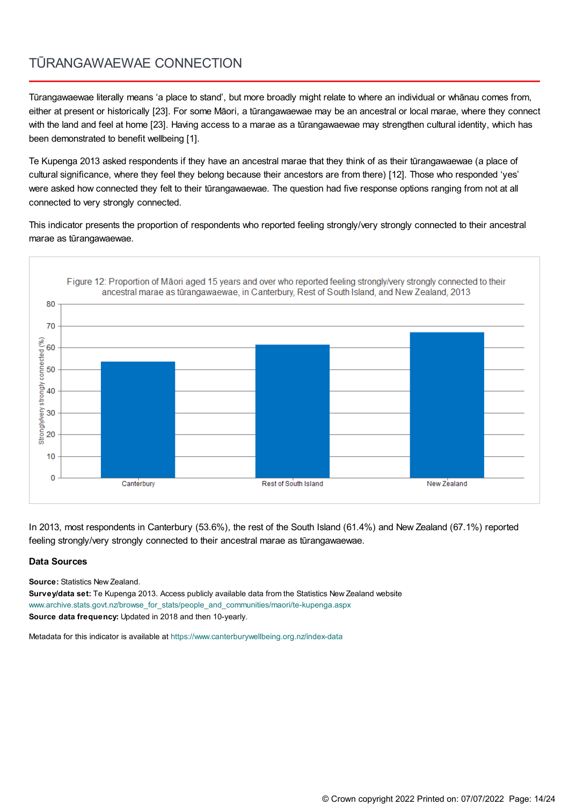## TŪRANGAWAEWAE CONNECTION

Tūrangawaewae literally means 'a place to stand', but more broadly might relate to where an individual or whānau comes from, either at present or historically [23]. For some Māori, a tūrangawaewae may be an ancestral or local marae, where they connect with the land and feel at home [23]. Having access to a marae as a tūrangawaewae may strengthen cultural identity, which has been demonstrated to benefit wellbeing [1].

Te Kupenga 2013 asked respondents if they have an ancestral marae that they think of as their tūrangawaewae (a place of cultural significance, where they feel they belong because their ancestors are from there) [12]. Those who responded 'yes' were asked how connected they felt to their tūrangawaewae. The question had five response options ranging from not at all connected to very strongly connected.

This indicator presents the proportion of respondents who reported feeling strongly/very strongly connected to their ancestral marae as tūrangawaewae.



In 2013, most respondents in Canterbury (53.6%), the rest of the South Island (61.4%) and New Zealand (67.1%) reported feeling strongly/very strongly connected to their ancestral marae as tūrangawaewae.

#### **Data Sources**

**Source:** Statistics New Zealand.

**Survey/data set:** Te Kupenga 2013. Access publicly available data from the Statistics New Zealand website [www.archive.stats.govt.nz/browse\\_for\\_stats/people\\_and\\_communities/maori/te-kupenga.aspx](http://www.archive.stats.govt.nz/browse_for_stats/people_and_communities/maori/te-kupenga.aspx) **Source data frequency:** Updated in 2018 and then 10-yearly.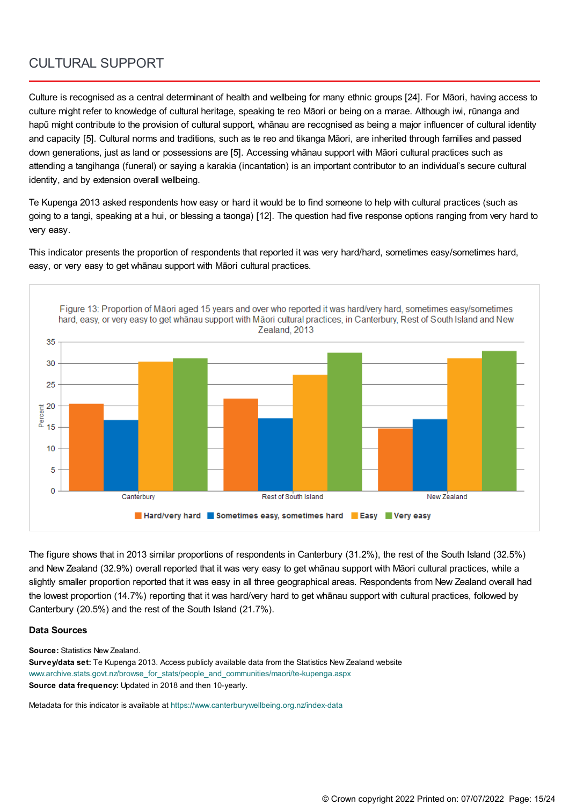### CULTURAL SUPPORT

Culture is recognised as a central determinant of health and wellbeing for many ethnic groups [24]. For Māori, having access to culture might refer to knowledge of cultural heritage, speaking te reo Māori or being on a marae. Although iwi, rūnanga and hapū might contribute to the provision of cultural support, whānau are recognised as being a major influencer of cultural identity and capacity [5]. Cultural norms and traditions, such as te reo and tikanga Māori, are inherited through families and passed down generations, just as land or possessions are [5]. Accessing whānau support with Māori cultural practices such as attending a tangihanga (funeral) or saying a karakia (incantation) is an important contributor to an individual's secure cultural identity, and by extension overall wellbeing.

Te Kupenga 2013 asked respondents how easy or hard it would be to find someone to help with cultural practices (such as going to a tangi, speaking at a hui, or blessing a taonga) [12]. The question had five response options ranging from very hard to very easy.

This indicator presents the proportion of respondents that reported it was very hard/hard, sometimes easy/sometimes hard, easy, or very easy to get whānau support with Māori cultural practices.



The figure shows that in 2013 similar proportions of respondents in Canterbury (31.2%), the rest of the South Island (32.5%) and New Zealand (32.9%) overall reported that it was very easy to get whānau support with Māori cultural practices, while a slightly smaller proportion reported that it was easy in all three geographical areas. Respondents from New Zealand overall had the lowest proportion (14.7%) reporting that it was hard/very hard to get whānau support with cultural practices, followed by Canterbury (20.5%) and the rest of the South Island (21.7%).

#### **Data Sources**

**Source:** Statistics New Zealand.

**Survey/data set:** Te Kupenga 2013. Access publicly available data from the Statistics New Zealand website [www.archive.stats.govt.nz/browse\\_for\\_stats/people\\_and\\_communities/maori/te-kupenga.aspx](http://www.archive.stats.govt.nz/browse_for_stats/people_and_communities/maori/te-kupenga.aspx) **Source data frequency:** Updated in 2018 and then 10-yearly.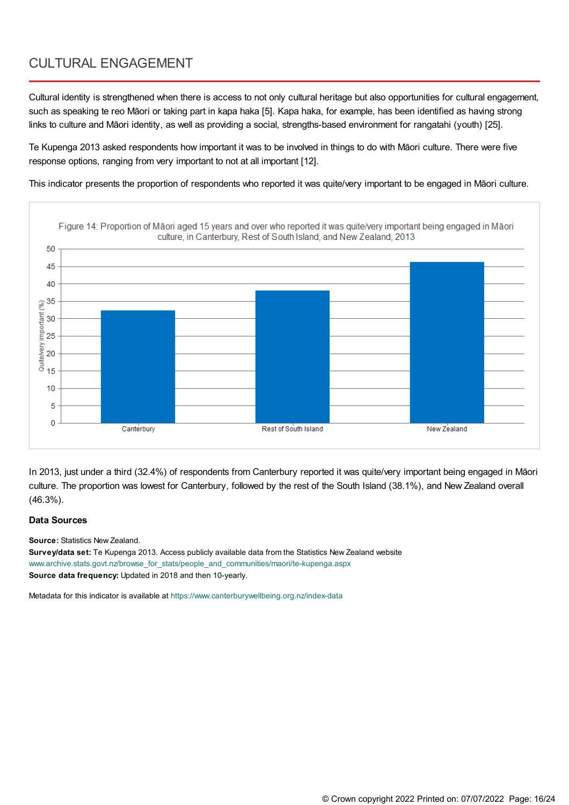### CULTURAL ENGAGEMENT

Cultural identity is strengthened when there is access to not only cultural heritage but also opportunities for cultural engagement, such as speaking te reo Māori or taking part in kapa haka [5]. Kapa haka, for example, has been identified as having strong links to culture and Māori identity, as well as providing a social, strengths-based environment for rangatahi (youth) [25].

Te Kupenga 2013 asked respondents how important it was to be involved in things to do with Māori culture. There were five response options, ranging from very important to not at all important [12].

This indicator presents the proportion of respondents who reported it was quite/very important to be engaged in Māori culture.



In 2013, just under a third (32.4%) of respondents from Canterbury reported it was quite/very important being engaged in Māori culture. The proportion was lowest for Canterbury, followed by the rest of the South Island (38.1%), and New Zealand overall (46.3%).

#### **Data Sources**

**Source:** Statistics New Zealand.

**Survey/data set:** Te Kupenga 2013. Access publicly available data from the Statistics New Zealand website [www.archive.stats.govt.nz/browse\\_for\\_stats/people\\_and\\_communities/maori/te-kupenga.aspx](http://www.archive.stats.govt.nz/browse_for_stats/people_and_communities/maori/te-kupenga.aspx) **Source data frequency:** Updated in 2018 and then 10-yearly.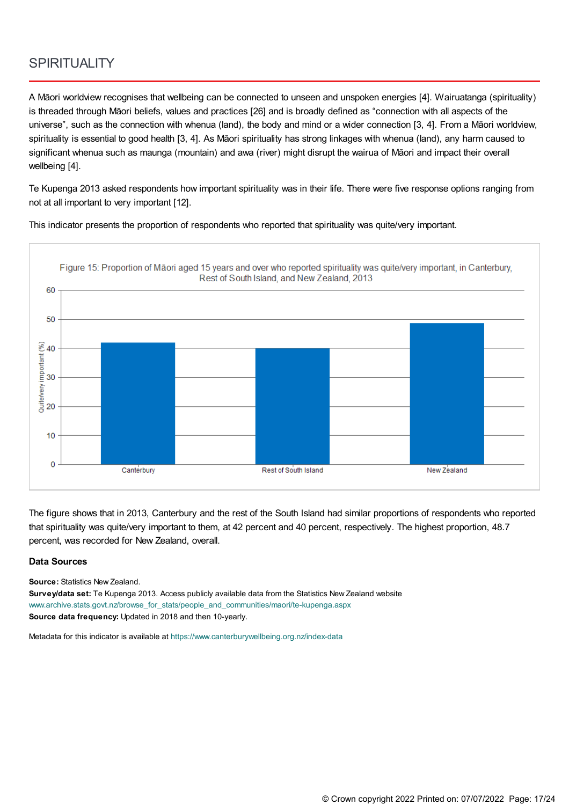### **SPIRITUALITY**

A Māori worldview recognises that wellbeing can be connected to unseen and unspoken energies [4]. Wairuatanga (spirituality) is threaded through Māori beliefs, values and practices [26] and is broadly defined as "connection with all aspects of the universe", such as the connection with whenua (land), the body and mind or a wider connection [3, 4]. From a Māori worldview, spirituality is essential to good health [3, 4]. As Māori spirituality has strong linkages with whenua (land), any harm caused to significant whenua such as maunga (mountain) and awa (river) might disrupt the wairua of Māori and impact their overall wellbeing [4].

Te Kupenga 2013 asked respondents how important spirituality was in their life. There were five response options ranging from not at all important to very important [12].

This indicator presents the proportion of respondents who reported that spirituality was quite/very important.



The figure shows that in 2013, Canterbury and the rest of the South Island had similar proportions of respondents who reported that spirituality was quite/very important to them, at 42 percent and 40 percent, respectively. The highest proportion, 48.7 percent, was recorded for New Zealand, overall.

#### **Data Sources**

**Source:** Statistics New Zealand.

**Survey/data set:** Te Kupenga 2013. Access publicly available data from the Statistics New Zealand website [www.archive.stats.govt.nz/browse\\_for\\_stats/people\\_and\\_communities/maori/te-kupenga.aspx](http://www.archive.stats.govt.nz/browse_for_stats/people_and_communities/maori/te-kupenga.aspx) **Source data frequency:** Updated in 2018 and then 10-yearly.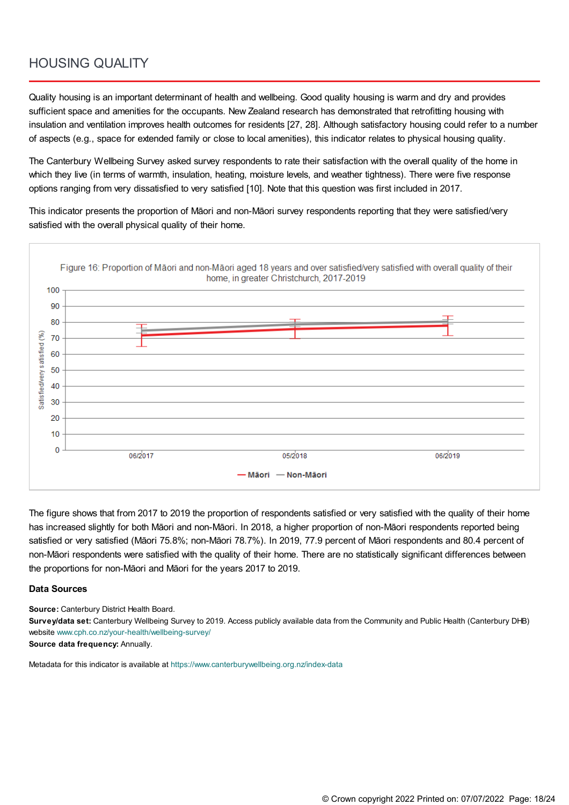### HOUSING QUALITY

Quality housing is an important determinant of health and wellbeing. Good quality housing is warm and dry and provides sufficient space and amenities for the occupants. New Zealand research has demonstrated that retrofitting housing with insulation and ventilation improves health outcomes for residents [27, 28]. Although satisfactory housing could refer to a number of aspects (e.g., space for extended family or close to local amenities), this indicator relates to physical housing quality.

The Canterbury Wellbeing Survey asked survey respondents to rate their satisfaction with the overall quality of the home in which they live (in terms of warmth, insulation, heating, moisture levels, and weather tightness). There were five response options ranging from very dissatisfied to very satisfied [10]. Note that this question was first included in 2017.

This indicator presents the proportion of Māori and non-Māori survey respondents reporting that they were satisfied/very satisfied with the overall physical quality of their home.

![](_page_17_Figure_4.jpeg)

The figure shows that from 2017 to 2019 the proportion of respondents satisfied or very satisfied with the quality of their home has increased slightly for both Māori and non-Māori. In 2018, a higher proportion of non-Māori respondents reported being satisfied or very satisfied (Māori 75.8%; non-Māori 78.7%). In 2019, 77.9 percent of Māori respondents and 80.4 percent of non-Māori respondents were satisfied with the quality of their home. There are no statistically significant differences between the proportions for non-Māori and Māori for the years 2017 to 2019.

#### **Data Sources**

**Source:** Canterbury District Health Board.

**Survey/data set:** Canterbury Wellbeing Survey to 2019. Access publicly available data from the Community and Public Health (Canterbury DHB) website [www.cph.co.nz/your-health/wellbeing-survey/](https://www.cph.co.nz/your-health/wellbeing-survey/)

**Source data frequency:** Annually.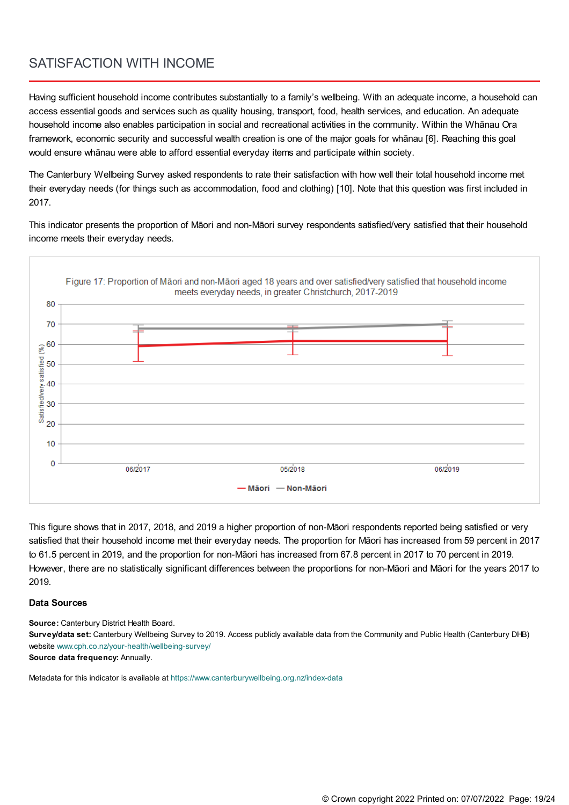### SATISFACTION WITH INCOME

Having sufficient household income contributes substantially to a family's wellbeing. With an adequate income, a household can access essential goods and services such as quality housing, transport, food, health services, and education. An adequate household income also enables participation in social and recreational activities in the community. Within the Whānau Ora framework, economic security and successful wealth creation is one of the major goals for whānau [6]. Reaching this goal would ensure whānau were able to afford essential everyday items and participate within society.

The Canterbury Wellbeing Survey asked respondents to rate their satisfaction with how well their total household income met their everyday needs (for things such as accommodation, food and clothing) [10]. Note that this question was first included in 2017.

This indicator presents the proportion of Māori and non-Māori survey respondents satisfied/very satisfied that their household income meets their everyday needs.

![](_page_18_Figure_4.jpeg)

This figure shows that in 2017, 2018, and 2019 a higher proportion of non-Māori respondents reported being satisfied or very satisfied that their household income met their everyday needs. The proportion for Māori has increased from 59 percent in 2017 to 61.5 percent in 2019, and the proportion for non-Māori has increased from 67.8 percent in 2017 to 70 percent in 2019. However, there are no statistically significant differences between the proportions for non-Māori and Māori for the years 2017 to 2019.

#### **Data Sources**

**Source:** Canterbury District Health Board.

**Survey/data set:** Canterbury Wellbeing Survey to 2019. Access publicly available data from the Community and Public Health (Canterbury DHB) website [www.cph.co.nz/your-health/wellbeing-survey/](https://www.cph.co.nz/your-health/wellbeing-survey/)

**Source data frequency:** Annually.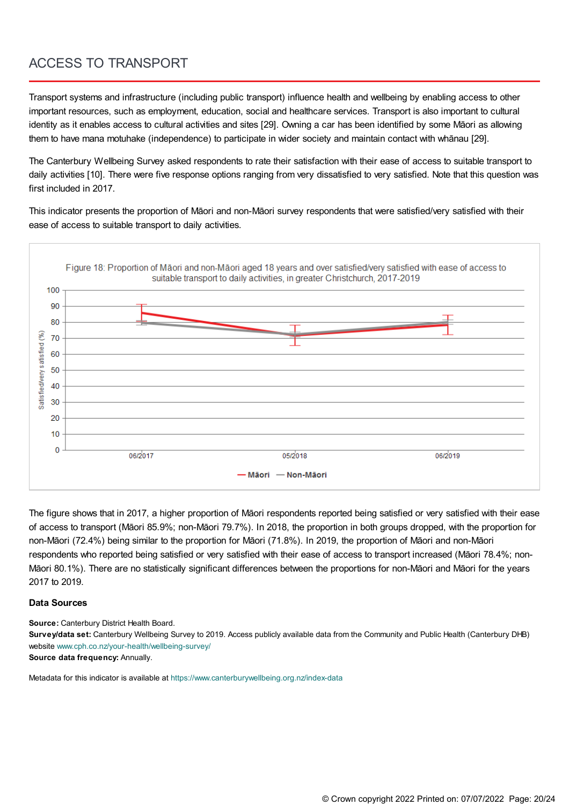## ACCESS TO TRANSPORT

Transport systems and infrastructure (including public transport) influence health and wellbeing by enabling access to other important resources, such as employment, education, social and healthcare services. Transport is also important to cultural identity as it enables access to cultural activities and sites [29]. Owning a car has been identified by some Māori as allowing them to have mana motuhake (independence) to participate in wider society and maintain contact with whānau [29].

The Canterbury Wellbeing Survey asked respondents to rate their satisfaction with their ease of access to suitable transport to daily activities [10]. There were five response options ranging from very dissatisfied to very satisfied. Note that this question was first included in 2017.

This indicator presents the proportion of Māori and non-Māori survey respondents that were satisfied/very satisfied with their ease of access to suitable transport to daily activities.

![](_page_19_Figure_4.jpeg)

The figure shows that in 2017, a higher proportion of Māori respondents reported being satisfied or very satisfied with their ease of access to transport (Māori 85.9%; non-Māori 79.7%). In 2018, the proportion in both groups dropped, with the proportion for non-Māori (72.4%) being similar to the proportion for Māori (71.8%). In 2019, the proportion of Māori and non-Māori respondents who reported being satisfied or very satisfied with their ease of access to transport increased (Māori 78.4%; non-Māori 80.1%). There are no statistically significant differences between the proportions for non-Māori and Māori for the years 2017 to 2019.

#### **Data Sources**

**Source:** Canterbury District Health Board.

**Survey/data set:** Canterbury Wellbeing Survey to 2019. Access publicly available data from the Community and Public Health (Canterbury DHB) website [www.cph.co.nz/your-health/wellbeing-survey/](https://www.cph.co.nz/your-health/wellbeing-survey/)

**Source data frequency:** Annually.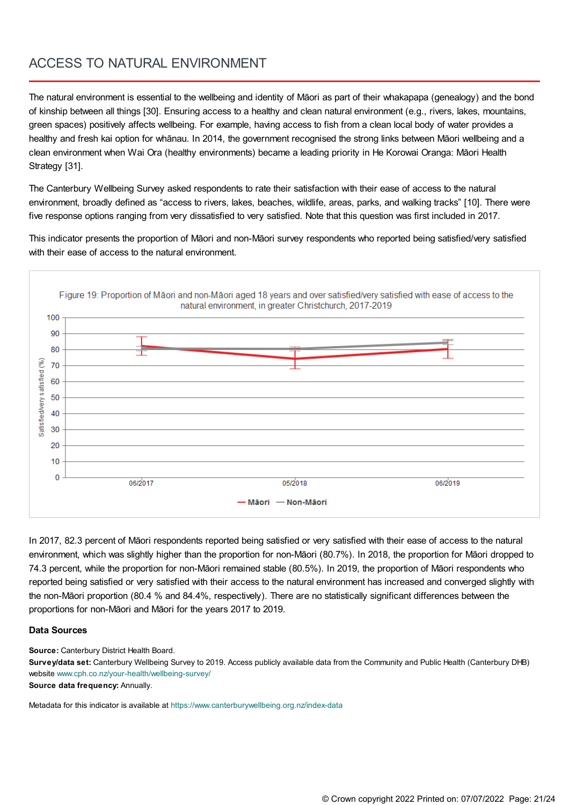### ACCESS TO NATURAL ENVIRONMENT

The natural environment is essential to the wellbeing and identity of Māori as part of their whakapapa (genealogy) and the bond of kinship between all things [30]. Ensuring access to a healthy and clean natural environment (e.g., rivers, lakes, mountains, green spaces) positively affects wellbeing. For example, having access to fish from a clean local body of water provides a healthy and fresh kai option for whānau. In 2014, the government recognised the strong links between Māori wellbeing and a clean environment when Wai Ora (healthy environments) became a leading priority in He Korowai Oranga: Māori Health Strategy [31].

The Canterbury Wellbeing Survey asked respondents to rate their satisfaction with their ease of access to the natural environment, broadly defined as "access to rivers, lakes, beaches, wildlife, areas, parks, and walking tracks" [10]. There were five response options ranging from very dissatisfied to very satisfied. Note that this question was first included in 2017.

This indicator presents the proportion of Māori and non-Māori survey respondents who reported being satisfied/very satisfied with their ease of access to the natural environment.

![](_page_20_Figure_4.jpeg)

In 2017, 82.3 percent of Māori respondents reported being satisfied or very satisfied with their ease of access to the natural environment, which was slightly higher than the proportion for non-Māori (80.7%). In 2018, the proportion for Māori dropped to 74.3 percent, while the proportion for non-Māori remained stable (80.5%). In 2019, the proportion of Māori respondents who reported being satisfied or very satisfied with their access to the natural environment has increased and converged slightly with the non-Māori proportion (80.4 % and 84.4%, respectively). There are no statistically significant differences between the proportions for non-Māori and Māori for the years 2017 to 2019.

#### **Data Sources**

**Source:** Canterbury District Health Board.

**Survey/data set:** Canterbury Wellbeing Survey to 2019. Access publicly available data from the Community and Public Health (Canterbury DHB) website [www.cph.co.nz/your-health/wellbeing-survey/](https://www.cph.co.nz/your-health/wellbeing-survey/)

**Source data frequency:** Annually.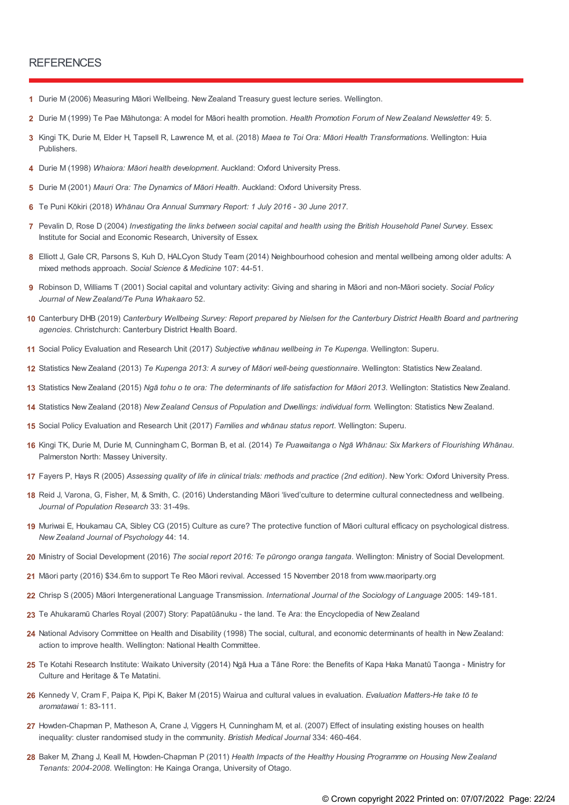#### **REFERENCES**

- **1** Durie M (2006) Measuring Māori Wellbeing. New Zealand Treasury guest lecture series. Wellington.
- **2** Durie M (1999) Te Pae Māhutonga: A model for Māori health promotion. *Health Promotion Forum of New Zealand Newsletter* 49: 5.
- Kingi TK, Durie M, Elder H, Tapsell R, Lawrence M, et al. (2018) *Maea te Toi Ora: Māori Health Transformations*. Wellington: Huia **3** Publishers.
- **4** Durie M (1998) *Whaiora: Māori health development*. Auckland: Oxford University Press.
- **5** Durie M (2001) *Mauri Ora: The Dynamics of Māori Health*. Auckland: Oxford University Press.
- **6** Te Puni Kōkiri (2018) *Whānau Ora Annual Summary Report: 1 July 2016 - 30 June 2017*.
- 7 Pevalin D, Rose D (2004) Investigating the links between social capital and health using the British Household Panel Survey. Essex: Institute for Social and Economic Research, University of Essex.
- Elliott J, Gale CR, Parsons S, Kuh D, HALCyon Study Team (2014) Neighbourhood cohesion and mental wellbeing among older adults: A **8** mixed methods approach. *Social Science & Medicine* 107: 44-51.
- Robinson D, Williams T (2001) Social capital and voluntary activity: Giving and sharing in Māori and non-Māori society. *Social Policy* **9** *Journal of New Zealand/Te Puna Whakaaro* 52.
- 10 Canterbury DHB (2019) Canterbury Wellbeing Survey: Report prepared by Nielsen for the Canterbury District Health Board and partnering *agencies*. Christchurch: Canterbury District Health Board.
- **11** Social Policy Evaluation and Research Unit (2017) *Subjective whānau wellbeing in Te Kupenga*. Wellington: Superu.
- **12** Statistics New Zealand (2013) *Te Kupenga 2013: A survey of Māori well-being questionnaire*. Wellington: Statistics New Zealand.
- 13 Statistics New Zealand (2015) Ngā tohu o te ora: The determinants of life satisfaction for Māori 2013. Wellington: Statistics New Zealand.
- **14** Statistics New Zealand (2018) *New Zealand Census of Population and Dwellings: individual form*. Wellington: Statistics New Zealand.
- **15** Social Policy Evaluation and Research Unit (2017) *Families and whānau status report*. Wellington: Superu.
- Kingi TK, Durie M, Durie M, Cunningham C, Borman B, et al. (2014) *Te Puawaitanga o Ngā Whānau: Six Markers of Flourishing Whānau*. **16** Palmerston North: Massey University.
- 17 Fayers P, Hays R (2005) Assessing quality of life in clinical trials: methods and practice (2nd edition). New York: Oxford University Press.
- 18 Reid J, Varona, G, Fisher, M, & Smith, C. (2016) Understanding Māori 'lived'culture to determine cultural connectedness and wellbeing. *Journal of Population Research* 33: 31-49s.
- 19 Muriwai E, Houkamau CA, Sibley CG (2015) Culture as cure? The protective function of Māori cultural efficacy on psychological distress. *New Zealand Journal of Psychology* 44: 14.
- **20** Ministry of Social Development (2016) *The social report 2016: Te pūrongo oranga tangata*. Wellington: Ministry of Social Development.
- **21** Māori party (2016) \$34.6m to support Te Reo Māori revival. Accessed 15 November 2018 from www.maoriparty.org
- **22** Chrisp S (2005) Māori Intergenerational Language Transmission. *International Journal of the Sociology of Language* 2005: 149-181.
- **23** Te Ahukaramū Charles Royal (2007) Story: Papatūānuku the land. Te Ara: the Encyclopedia of New Zealand
- 24 National Advisory Committee on Health and Disability (1998) The social, cultural, and economic determinants of health in New Zealand: action to improve health. Wellington: National Health Committee.
- Te Kotahi Research Institute: Waikato University (2014) Ngā Hua a Tāne Rore: the Benefits of Kapa Haka Manatū Taonga Ministry for **25** Culture and Heritage & Te Matatini.
- Kennedy V, Cram F, Paipa K, Pipi K, Baker M (2015) Wairua and cultural values in evaluation. *Evaluation Matters-He take tō te* **26** *aromatawai* 1: 83-111.
- 27 Howden-Chapman P, Matheson A, Crane J, Viggers H, Cunningham M, et al. (2007) Effect of insulating existing houses on health inequality: cluster randomised study in the community. *Bristish Medical Journal* 334: 460-464.
- Baker M, Zhang J, Keall M, Howden-Chapman P (2011) *Health Impacts of the Healthy Housing Programme on Housing New Zealand* **28** *Tenants: 2004-2008*. Wellington: He Kainga Oranga, University of Otago.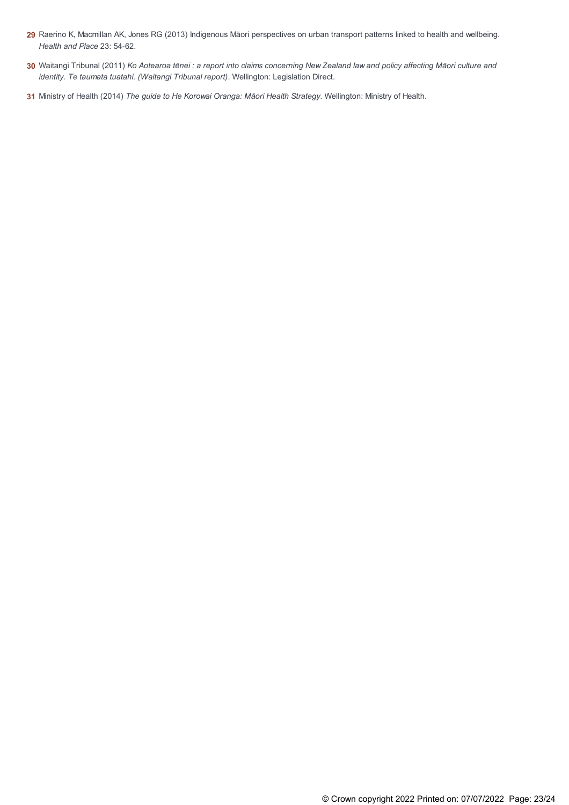- 29 Raerino K, Macmillan AK, Jones RG (2013) Indigenous Māori perspectives on urban transport patterns linked to health and wellbeing. *Health and Place* 23: 54-62.
- 30 Waitangi Tribunal (2011) Ko Aotearoa tēnei : a report into claims concerning New Zealand law and policy affecting Māori culture and *identity. Te taumata tuatahi. (Waitangi Tribunal report)*. Wellington: Legislation Direct.
- **31** Ministry of Health (2014) *The guide to He Korowai Oranga: Māori Health Strategy*. Wellington: Ministry of Health.